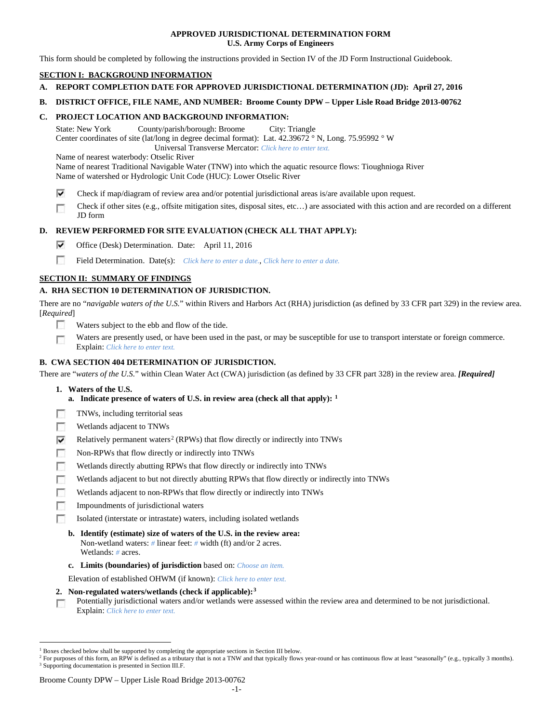# **APPROVED JURISDICTIONAL DETERMINATION FORM U.S. Army Corps of Engineers**

This form should be completed by following the instructions provided in Section IV of the JD Form Instructional Guidebook.

# **SECTION I: BACKGROUND INFORMATION**

- **A. REPORT COMPLETION DATE FOR APPROVED JURISDICTIONAL DETERMINATION (JD): April 27, 2016**
- **B. DISTRICT OFFICE, FILE NAME, AND NUMBER: Broome County DPW – Upper Lisle Road Bridge 2013-00762**

# **C. PROJECT LOCATION AND BACKGROUND INFORMATION:**

State: New York County/parish/borough: Broome City: Triangle Center coordinates of site (lat/long in degree decimal format): Lat. 42.39672 ° N, Long. 75.95992 ° W Universal Transverse Mercator: *Click here to enter text.*

Name of nearest waterbody: Otselic River

Name of nearest Traditional Navigable Water (TNW) into which the aquatic resource flows: Tioughnioga River Name of watershed or Hydrologic Unit Code (HUC): Lower Otselic River

- ⊽ Check if map/diagram of review area and/or potential jurisdictional areas is/are available upon request.
- Check if other sites (e.g., offsite mitigation sites, disposal sites, etc…) are associated with this action and are recorded on a different п JD form

# **D. REVIEW PERFORMED FOR SITE EVALUATION (CHECK ALL THAT APPLY):**

- ⊽ Office (Desk) Determination. Date: April 11, 2016
- m Field Determination. Date(s): *Click here to enter a date.*, *Click here to enter a date.*

# **SECTION II: SUMMARY OF FINDINGS**

# **A. RHA SECTION 10 DETERMINATION OF JURISDICTION.**

There are no "*navigable waters of the U.S.*" within Rivers and Harbors Act (RHA) jurisdiction (as defined by 33 CFR part 329) in the review area. [*Required*]

- n Waters subject to the ebb and flow of the tide.
- Waters are presently used, or have been used in the past, or may be susceptible for use to transport interstate or foreign commerce. п Explain: *Click here to enter text.*

# **B. CWA SECTION 404 DETERMINATION OF JURISDICTION.**

There are "*waters of the U.S.*" within Clean Water Act (CWA) jurisdiction (as defined by 33 CFR part 328) in the review area. *[Required]*

- **1. Waters of the U.S.**
	- **a. Indicate presence of waters of U.S. in review area (check all that apply): [1](#page-0-0)**
- г TNWs, including territorial seas
- п Wetlands adjacent to TNWs
- Relatively permanent waters<sup>[2](#page-0-1)</sup> (RPWs) that flow directly or indirectly into TNWs ⊽
- г Non-RPWs that flow directly or indirectly into TNWs
- п Wetlands directly abutting RPWs that flow directly or indirectly into TNWs
- Wetlands adjacent to but not directly abutting RPWs that flow directly or indirectly into TNWs г
- Wetlands adjacent to non-RPWs that flow directly or indirectly into TNWs г
- п Impoundments of jurisdictional waters
- Isolated (interstate or intrastate) waters, including isolated wetlands n.
	- **b. Identify (estimate) size of waters of the U.S. in the review area:** Non-wetland waters: *#* linear feet: *#* width (ft) and/or 2 acres. Wetlands: *#* acres.
	- **c. Limits (boundaries) of jurisdiction** based on: *Choose an item.*

Elevation of established OHWM (if known): *Click here to enter text.*

- **2. Non-regulated waters/wetlands (check if applicable):[3](#page-0-2)**
- Potentially jurisdictional waters and/or wetlands were assessed within the review area and determined to be not jurisdictional. п Explain: *Click here to enter text.*

<span id="page-0-0"></span><sup>&</sup>lt;sup>1</sup> Boxes checked below shall be supported by completing the appropriate sections in Section III below.

<span id="page-0-2"></span><span id="page-0-1"></span><sup>&</sup>lt;sup>2</sup> For purposes of this form, an RPW is defined as a tributary that is not a TNW and that typically flows year-round or has continuous flow at least "seasonally" (e.g., typically 3 months). <sup>3</sup> Supporting documentation is presented in Section III.F.

Broome County DPW – Upper Lisle Road Bridge 2013-00762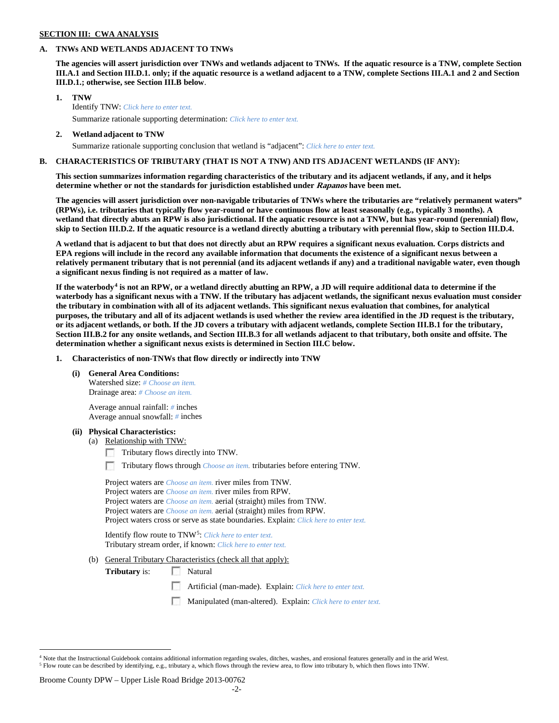### **SECTION III: CWA ANALYSIS**

# **A. TNWs AND WETLANDS ADJACENT TO TNWs**

**The agencies will assert jurisdiction over TNWs and wetlands adjacent to TNWs. If the aquatic resource is a TNW, complete Section III.A.1 and Section III.D.1. only; if the aquatic resource is a wetland adjacent to a TNW, complete Sections III.A.1 and 2 and Section III.D.1.; otherwise, see Section III.B below**.

- **1. TNW**  Identify TNW: *Click here to enter text.*
	- Summarize rationale supporting determination: *Click here to enter text.*
- **2. Wetland adjacent to TNW** Summarize rationale supporting conclusion that wetland is "adjacent": *Click here to enter text.*

# **B. CHARACTERISTICS OF TRIBUTARY (THAT IS NOT A TNW) AND ITS ADJACENT WETLANDS (IF ANY):**

**This section summarizes information regarding characteristics of the tributary and its adjacent wetlands, if any, and it helps determine whether or not the standards for jurisdiction established under Rapanos have been met.** 

**The agencies will assert jurisdiction over non-navigable tributaries of TNWs where the tributaries are "relatively permanent waters" (RPWs), i.e. tributaries that typically flow year-round or have continuous flow at least seasonally (e.g., typically 3 months). A wetland that directly abuts an RPW is also jurisdictional. If the aquatic resource is not a TNW, but has year-round (perennial) flow, skip to Section III.D.2. If the aquatic resource is a wetland directly abutting a tributary with perennial flow, skip to Section III.D.4.**

**A wetland that is adjacent to but that does not directly abut an RPW requires a significant nexus evaluation. Corps districts and EPA regions will include in the record any available information that documents the existence of a significant nexus between a relatively permanent tributary that is not perennial (and its adjacent wetlands if any) and a traditional navigable water, even though a significant nexus finding is not required as a matter of law.**

**If the waterbody[4](#page-1-0) is not an RPW, or a wetland directly abutting an RPW, a JD will require additional data to determine if the waterbody has a significant nexus with a TNW. If the tributary has adjacent wetlands, the significant nexus evaluation must consider the tributary in combination with all of its adjacent wetlands. This significant nexus evaluation that combines, for analytical purposes, the tributary and all of its adjacent wetlands is used whether the review area identified in the JD request is the tributary, or its adjacent wetlands, or both. If the JD covers a tributary with adjacent wetlands, complete Section III.B.1 for the tributary, Section III.B.2 for any onsite wetlands, and Section III.B.3 for all wetlands adjacent to that tributary, both onsite and offsite. The determination whether a significant nexus exists is determined in Section III.C below.**

**1. Characteristics of non-TNWs that flow directly or indirectly into TNW**

**(i) General Area Conditions:**

Watershed size: *# Choose an item.* Drainage area: *# Choose an item.*

Average annual rainfall: *#* inches Average annual snowfall: *#* inches

### **(ii) Physical Characteristics:**

- (a) Relationship with TNW:
	- Tributary flows directly into TNW.

n Tributary flows through *Choose an item.* tributaries before entering TNW.

Project waters are *Choose an item.* river miles from TNW. Project waters are *Choose an item.* river miles from RPW. Project waters are *Choose an item.* aerial (straight) miles from TNW. Project waters are *Choose an item.* aerial (straight) miles from RPW. Project waters cross or serve as state boundaries. Explain: *Click here to enter text.*

Identify flow route to TNW[5:](#page-1-1) *Click here to enter text.* Tributary stream order, if known: *Click here to enter text.*

(b) General Tributary Characteristics (check all that apply):

**Tributary** is: Natural

- $\sim$ Artificial (man-made). Explain: *Click here to enter text.*
- Manipulated (man-altered). Explain: *Click here to enter text.*

#### Broome County DPW – Upper Lisle Road Bridge 2013-00762

<span id="page-1-1"></span><span id="page-1-0"></span><sup>&</sup>lt;sup>4</sup> Note that the Instructional Guidebook contains additional information regarding swales, ditches, washes, and erosional features generally and in the arid West. <sup>5</sup> Flow route can be described by identifying, e.g., tributary a, which flows through the review area, to flow into tributary b, which then flows into TNW.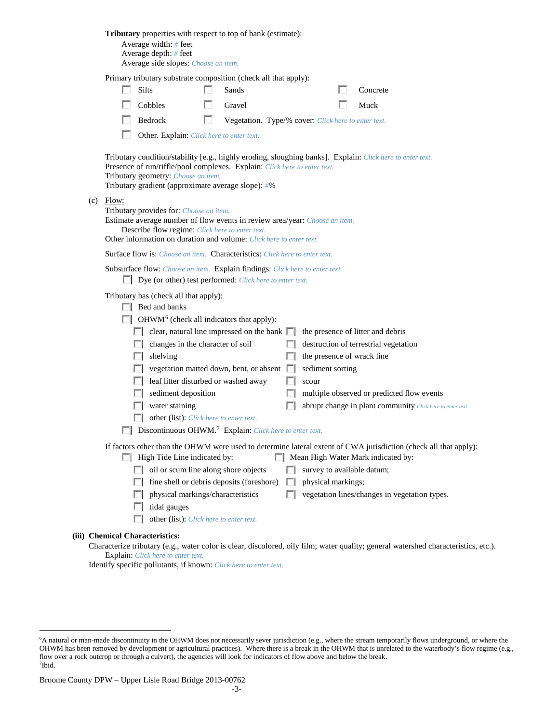|                                  | Average width: # feet<br>Average depth: # feet<br>Average side slopes: Choose an item.     |    | <b>Tributary</b> properties with respect to top of bank (estimate):                                                                                |             |                            |                                                                                                                                                        |
|----------------------------------|--------------------------------------------------------------------------------------------|----|----------------------------------------------------------------------------------------------------------------------------------------------------|-------------|----------------------------|--------------------------------------------------------------------------------------------------------------------------------------------------------|
|                                  |                                                                                            |    | Primary tributary substrate composition (check all that apply):                                                                                    |             |                            |                                                                                                                                                        |
|                                  | Silts                                                                                      |    | Sands                                                                                                                                              |             |                            | Concrete                                                                                                                                               |
|                                  | Cobbles                                                                                    | L. | Gravel                                                                                                                                             |             |                            | Muck                                                                                                                                                   |
|                                  | Bedrock                                                                                    | L. | Vegetation. Type/% cover: Click here to enter text.                                                                                                |             |                            |                                                                                                                                                        |
|                                  | Other. Explain: Click here to enter text.                                                  |    |                                                                                                                                                    |             |                            |                                                                                                                                                        |
|                                  | Tributary geometry: Choose an item.<br>Tributary gradient (approximate average slope): #%  |    | Presence of run/riffle/pool complexes. Explain: Click here to enter text.                                                                          |             |                            | Tributary condition/stability [e.g., highly eroding, sloughing banks]. Explain: Click here to enter text.                                              |
| $(c)$ Flow:                      | Tributary provides for: Choose an item.<br>Describe flow regime: Click here to enter text. |    | Estimate average number of flow events in review area/year: Choose an item.<br>Other information on duration and volume: Click here to enter text. |             |                            |                                                                                                                                                        |
|                                  |                                                                                            |    | Surface flow is: <i>Choose an item.</i> Characteristics: <i>Click here to enter text.</i>                                                          |             |                            |                                                                                                                                                        |
|                                  |                                                                                            |    | Subsurface flow: Choose an item. Explain findings: Click here to enter text.<br>Dye (or other) test performed: Click here to enter text.           |             |                            |                                                                                                                                                        |
|                                  | Tributary has (check all that apply):<br>$\Box$ Bed and banks                              |    |                                                                                                                                                    |             |                            |                                                                                                                                                        |
|                                  | $\Box$ OHWM <sup>6</sup> (check all indicators that apply):                                |    |                                                                                                                                                    |             |                            |                                                                                                                                                        |
|                                  |                                                                                            |    | $\Box$ clear, natural line impressed on the bank $\Box$                                                                                            |             |                            | the presence of litter and debris                                                                                                                      |
|                                  | changes in the character of soil                                                           |    |                                                                                                                                                    |             |                            | destruction of terrestrial vegetation                                                                                                                  |
|                                  | shelving                                                                                   |    |                                                                                                                                                    |             | the presence of wrack line |                                                                                                                                                        |
|                                  | leaf litter disturbed or washed away                                                       |    | vegetation matted down, bent, or absent $\Box$                                                                                                     |             | sediment sorting           |                                                                                                                                                        |
|                                  | sediment deposition                                                                        |    |                                                                                                                                                    |             | scour                      | multiple observed or predicted flow events                                                                                                             |
|                                  | water staining                                                                             |    |                                                                                                                                                    |             |                            | abrupt change in plant community Click here to enter text.                                                                                             |
|                                  | other (list): Click here to enter text.                                                    |    |                                                                                                                                                    |             |                            |                                                                                                                                                        |
|                                  |                                                                                            |    | Discontinuous OHWM. <sup>7</sup> Explain: Click here to enter text.                                                                                |             |                            |                                                                                                                                                        |
|                                  | High Tide Line indicated by:                                                               |    |                                                                                                                                                    |             |                            | If factors other than the OHWM were used to determine lateral extent of CWA jurisdiction (check all that apply):<br>Mean High Water Mark indicated by: |
| $\sim$                           | oil or scum line along shore objects                                                       |    |                                                                                                                                                    |             |                            | survey to available datum;                                                                                                                             |
| FЛ                               |                                                                                            |    | fine shell or debris deposits (foreshore)                                                                                                          | <b>I</b> in | physical markings;         |                                                                                                                                                        |
| L.                               | physical markings/characteristics                                                          |    |                                                                                                                                                    | п           |                            | vegetation lines/changes in vegetation types.                                                                                                          |
| <b>I</b> in                      | tidal gauges                                                                               |    |                                                                                                                                                    |             |                            |                                                                                                                                                        |
|                                  | other (list): Click here to enter text.                                                    |    |                                                                                                                                                    |             |                            |                                                                                                                                                        |
| <b>Chemical Characteristics:</b> |                                                                                            |    |                                                                                                                                                    |             |                            | Characterize tributary (e.g., water color is clear, discolored, oily film; water quality; general watershed characteristics, etc.).                    |

Explain: *Click here to enter text.*

**(iii)** 

Identify specific pollutants, if known: *Click here to enter text.*

<span id="page-2-1"></span><span id="page-2-0"></span> <sup>6</sup> <sup>6</sup>A natural or man-made discontinuity in the OHWM does not necessarily sever jurisdiction (e.g., where the stream temporarily flows underground, or where the OHWM has been removed by development or agricultural practices). Where there is a break in the OHWM that is unrelated to the waterbody's flow regime (e.g., flow over a rock outcrop or through a culvert), the agencies will look for indicators of flow above and below the break. 7 Ibid.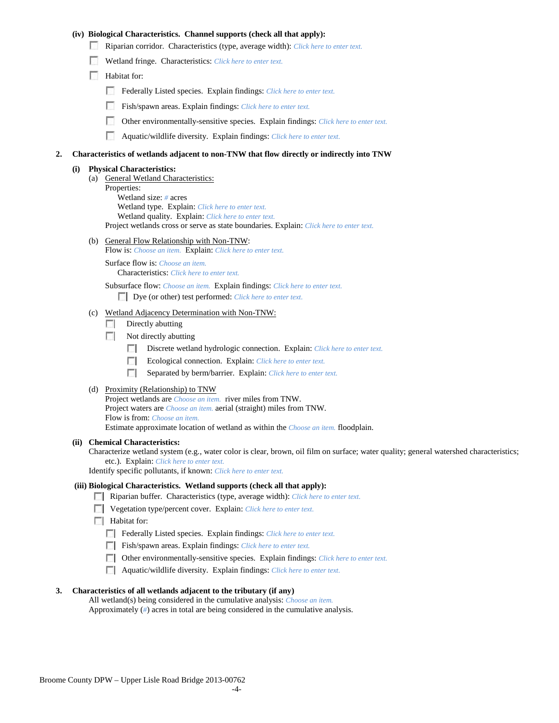# **(iv) Biological Characteristics. Channel supports (check all that apply):**

- Riparian corridor. Characteristics (type, average width): *Click here to enter text.*
- Wetland fringe. Characteristics: *Click here to enter text.*
- Habitat for:
	- Federally Listed species. Explain findings: *Click here to enter text.*
	- Fish/spawn areas. Explain findings: *Click here to enter text.*
	- Other environmentally-sensitive species. Explain findings: *Click here to enter text.* m.
	- п Aquatic/wildlife diversity. Explain findings: *Click here to enter text.*

#### **2. Characteristics of wetlands adjacent to non-TNW that flow directly or indirectly into TNW**

#### **(i) Physical Characteristics:**

- (a) General Wetland Characteristics:
	- Properties:

Wetland size: *#* acres Wetland type. Explain: *Click here to enter text.*

Wetland quality. Explain: *Click here to enter text.*

Project wetlands cross or serve as state boundaries. Explain: *Click here to enter text.*

(b) General Flow Relationship with Non-TNW: Flow is: *Choose an item.* Explain: *Click here to enter text.*

Surface flow is: *Choose an item.* Characteristics: *Click here to enter text.*

Subsurface flow: *Choose an item.* Explain findings: *Click here to enter text.*

Dye (or other) test performed: *Click here to enter text.*

#### (c) Wetland Adjacency Determination with Non-TNW:

- $\Box$  Directly abutting
- Not directly abutting
	- **The State** Discrete wetland hydrologic connection. Explain: *Click here to enter text.*
	- Ecological connection. Explain: *Click here to enter text.* **The Contract of the Contract of the Contract of the Contract of the Contract of the Contract of the Contract of the Contract of the Contract of the Contract of the Contract of the Contract of the Contract of the Contract**
	- $\sim$ Separated by berm/barrier. Explain: *Click here to enter text.*
- (d) Proximity (Relationship) to TNW

Project wetlands are *Choose an item.* river miles from TNW. Project waters are *Choose an item.* aerial (straight) miles from TNW. Flow is from: *Choose an item.* Estimate approximate location of wetland as within the *Choose an item.* floodplain.

#### **(ii) Chemical Characteristics:**

Characterize wetland system (e.g., water color is clear, brown, oil film on surface; water quality; general watershed characteristics; etc.). Explain: *Click here to enter text.*

Identify specific pollutants, if known: *Click here to enter text.*

### **(iii) Biological Characteristics. Wetland supports (check all that apply):**

- Riparian buffer. Characteristics (type, average width): *Click here to enter text.*
- Vegetation type/percent cover. Explain: *Click here to enter text.*
- $\Box$  Habitat for:
	- Federally Listed species. Explain findings: *Click here to enter text*.
	- Fish/spawn areas. Explain findings: *Click here to enter text.*
	- Other environmentally-sensitive species. Explain findings: *Click here to enter text.*
	- Aquatic/wildlife diversity. Explain findings: *Click here to enter text.*

#### **3. Characteristics of all wetlands adjacent to the tributary (if any)**

All wetland(s) being considered in the cumulative analysis: *Choose an item.* Approximately (*#*) acres in total are being considered in the cumulative analysis.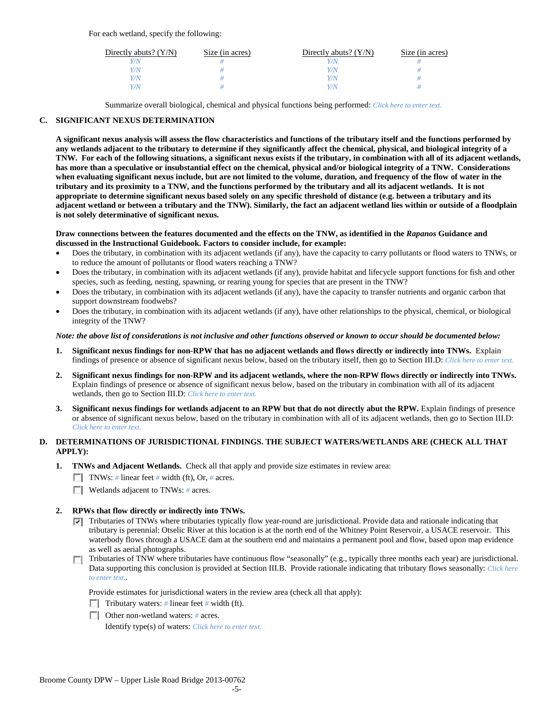For each wetland, specify the following:

| Directly abuts? $(Y/N)$ | Size (in acres) | Directly abuts? $(Y/N)$ | Size (in acres) |
|-------------------------|-----------------|-------------------------|-----------------|
|                         |                 | Y/N                     |                 |
| V/N                     |                 | Y/N                     |                 |
| V/N                     |                 | Y/N                     |                 |
|                         |                 | Y/N                     |                 |

Summarize overall biological, chemical and physical functions being performed: *Click here to enter text.*

# **C. SIGNIFICANT NEXUS DETERMINATION**

**A significant nexus analysis will assess the flow characteristics and functions of the tributary itself and the functions performed by any wetlands adjacent to the tributary to determine if they significantly affect the chemical, physical, and biological integrity of a TNW. For each of the following situations, a significant nexus exists if the tributary, in combination with all of its adjacent wetlands, has more than a speculative or insubstantial effect on the chemical, physical and/or biological integrity of a TNW. Considerations when evaluating significant nexus include, but are not limited to the volume, duration, and frequency of the flow of water in the tributary and its proximity to a TNW, and the functions performed by the tributary and all its adjacent wetlands. It is not appropriate to determine significant nexus based solely on any specific threshold of distance (e.g. between a tributary and its adjacent wetland or between a tributary and the TNW). Similarly, the fact an adjacent wetland lies within or outside of a floodplain is not solely determinative of significant nexus.** 

### **Draw connections between the features documented and the effects on the TNW, as identified in the** *Rapanos* **Guidance and discussed in the Instructional Guidebook. Factors to consider include, for example:**

- Does the tributary, in combination with its adjacent wetlands (if any), have the capacity to carry pollutants or flood waters to TNWs, or to reduce the amount of pollutants or flood waters reaching a TNW?
- Does the tributary, in combination with its adjacent wetlands (if any), provide habitat and lifecycle support functions for fish and other species, such as feeding, nesting, spawning, or rearing young for species that are present in the TNW?
- Does the tributary, in combination with its adjacent wetlands (if any), have the capacity to transfer nutrients and organic carbon that support downstream foodwebs?
- Does the tributary, in combination with its adjacent wetlands (if any), have other relationships to the physical, chemical, or biological integrity of the TNW?

### *Note: the above list of considerations is not inclusive and other functions observed or known to occur should be documented below:*

- **1. Significant nexus findings for non-RPW that has no adjacent wetlands and flows directly or indirectly into TNWs.** Explain findings of presence or absence of significant nexus below, based on the tributary itself, then go to Section III.D: *Click here to enter text.*
- **2. Significant nexus findings for non-RPW and its adjacent wetlands, where the non-RPW flows directly or indirectly into TNWs.**  Explain findings of presence or absence of significant nexus below, based on the tributary in combination with all of its adjacent wetlands, then go to Section III.D: *Click here to enter text.*
- **3. Significant nexus findings for wetlands adjacent to an RPW but that do not directly abut the RPW.** Explain findings of presence or absence of significant nexus below, based on the tributary in combination with all of its adjacent wetlands, then go to Section III.D: *Click here to enter text.*

# **D. DETERMINATIONS OF JURISDICTIONAL FINDINGS. THE SUBJECT WATERS/WETLANDS ARE (CHECK ALL THAT APPLY):**

- **1. TNWs and Adjacent Wetlands.** Check all that apply and provide size estimates in review area:
	- TNWs: *#* linear feet *#* width (ft), Or, *#* acres.
	- **Wetlands adjacent to TNWs:** # acres.

# **2. RPWs that flow directly or indirectly into TNWs.**

- $\nabla$  Tributaries of TNWs where tributaries typically flow year-round are jurisdictional. Provide data and rationale indicating that tributary is perennial: Otselic River at this location is at the north end of the Whitney Point Reservoir, a USACE reservoir. This waterbody flows through a USACE dam at the southern end and maintains a permanent pool and flow, based upon map evidence as well as aerial photographs.
- Tributaries of TNW where tributaries have continuous flow "seasonally" (e.g., typically three months each year) are jurisdictional. Data supporting this conclusion is provided at Section III.B. Provide rationale indicating that tributary flows seasonally: *Click here to enter text.*.

Provide estimates for jurisdictional waters in the review area (check all that apply):

- Tributary waters: # linear feet # width (ft).
- Other non-wetland waters: *#* acres.

Identify type(s) of waters: *Click here to enter text.*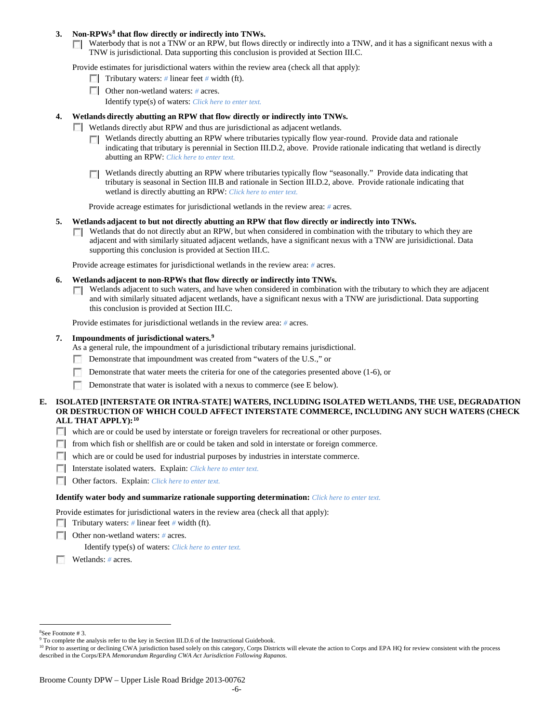## **3. Non-RPWs[8](#page-5-0) that flow directly or indirectly into TNWs.**

Waterbody that is not a TNW or an RPW, but flows directly or indirectly into a TNW, and it has a significant nexus with a TNW is jurisdictional. Data supporting this conclusion is provided at Section III.C.

Provide estimates for jurisdictional waters within the review area (check all that apply):

- **Tributary waters:** # linear feet # width (ft).
- Other non-wetland waters: *#* acres. Identify type(s) of waters: *Click here to enter text.*
- **4. Wetlands directly abutting an RPW that flow directly or indirectly into TNWs.**
	- **Wetlands directly abut RPW and thus are jurisdictional as adjacent wetlands.** 
		- $\Box$  Wetlands directly abutting an RPW where tributaries typically flow year-round. Provide data and rationale indicating that tributary is perennial in Section III.D.2, above. Provide rationale indicating that wetland is directly abutting an RPW: *Click here to enter text.*
		- Wetlands directly abutting an RPW where tributaries typically flow "seasonally." Provide data indicating that tributary is seasonal in Section III.B and rationale in Section III.D.2, above. Provide rationale indicating that wetland is directly abutting an RPW: *Click here to enter text.*

Provide acreage estimates for jurisdictional wetlands in the review area: *#* acres.

- **5. Wetlands adjacent to but not directly abutting an RPW that flow directly or indirectly into TNWs.**
	- $\Box$  Wetlands that do not directly abut an RPW, but when considered in combination with the tributary to which they are adjacent and with similarly situated adjacent wetlands, have a significant nexus with a TNW are jurisidictional. Data supporting this conclusion is provided at Section III.C.

Provide acreage estimates for jurisdictional wetlands in the review area: *#* acres.

- **6. Wetlands adjacent to non-RPWs that flow directly or indirectly into TNWs.** 
	- Wetlands adjacent to such waters, and have when considered in combination with the tributary to which they are adjacent **TO** and with similarly situated adjacent wetlands, have a significant nexus with a TNW are jurisdictional. Data supporting this conclusion is provided at Section III.C.

Provide estimates for jurisdictional wetlands in the review area: *#* acres.

### **7. Impoundments of jurisdictional waters. [9](#page-5-1)**

As a general rule, the impoundment of a jurisdictional tributary remains jurisdictional.

- Demonstrate that impoundment was created from "waters of the U.S.," or
- Demonstrate that water meets the criteria for one of the categories presented above (1-6), or
- n Demonstrate that water is isolated with a nexus to commerce (see E below).
- **E. ISOLATED [INTERSTATE OR INTRA-STATE] WATERS, INCLUDING ISOLATED WETLANDS, THE USE, DEGRADATION OR DESTRUCTION OF WHICH COULD AFFECT INTERSTATE COMMERCE, INCLUDING ANY SUCH WATERS (CHECK ALL THAT APPLY):[10](#page-5-2)**
	- which are or could be used by interstate or foreign travelers for recreational or other purposes.
	- from which fish or shellfish are or could be taken and sold in interstate or foreign commerce.
	- which are or could be used for industrial purposes by industries in interstate commerce.
	- Interstate isolated waters.Explain: *Click here to enter text.*
	- Other factors.Explain: *Click here to enter text.*

#### **Identify water body and summarize rationale supporting determination:** *Click here to enter text.*

Provide estimates for jurisdictional waters in the review area (check all that apply):

- Tributary waters: # linear feet # width (ft).
- Other non-wetland waters: *#* acres.

Identify type(s) of waters: *Click here to enter text.*

Wetlands: *#* acres.

 $\frac{1}{8}$ See Footnote # 3.

<span id="page-5-2"></span><span id="page-5-1"></span><span id="page-5-0"></span><sup>&</sup>lt;sup>9</sup> To complete the analysis refer to the key in Section III.D.6 of the Instructional Guidebook.

<sup>&</sup>lt;sup>10</sup> Prior to asserting or declining CWA jurisdiction based solely on this category, Corps Districts will elevate the action to Corps and EPA HQ for review consistent with the process described in the Corps/EPA *Memorandum Regarding CWA Act Jurisdiction Following Rapanos.*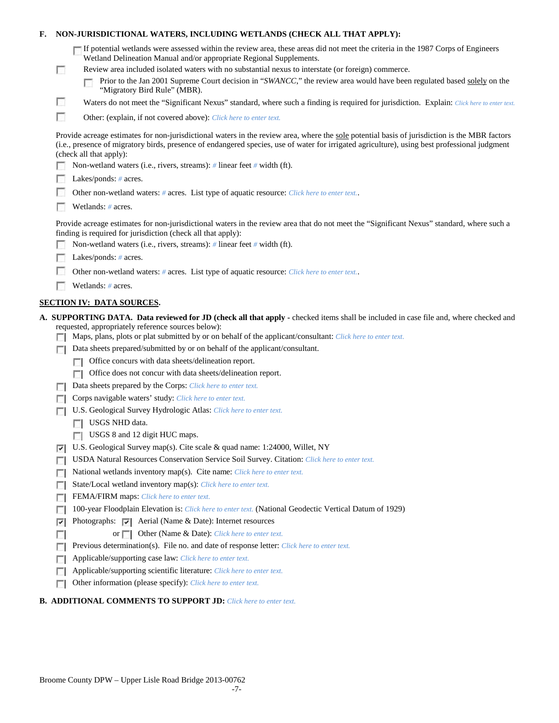| F. |          | NON-JURISDICTIONAL WATERS, INCLUDING WETLANDS (CHECK ALL THAT APPLY):                                                                                                                                                                                                                                                                                                                                                                                                     |
|----|----------|---------------------------------------------------------------------------------------------------------------------------------------------------------------------------------------------------------------------------------------------------------------------------------------------------------------------------------------------------------------------------------------------------------------------------------------------------------------------------|
|    | п        | If potential wetlands were assessed within the review area, these areas did not meet the criteria in the 1987 Corps of Engineers<br>Wetland Delineation Manual and/or appropriate Regional Supplements.<br>Review area included isolated waters with no substantial nexus to interstate (or foreign) commerce.<br>Prior to the Jan 2001 Supreme Court decision in "SWANCC," the review area would have been regulated based solely on the<br>"Migratory Bird Rule" (MBR). |
|    | u        | Waters do not meet the "Significant Nexus" standard, where such a finding is required for jurisdiction. Explain: Click here to enter text.                                                                                                                                                                                                                                                                                                                                |
|    | п        | Other: (explain, if not covered above): Click here to enter text.                                                                                                                                                                                                                                                                                                                                                                                                         |
|    |          | Provide acreage estimates for non-jurisdictional waters in the review area, where the sole potential basis of jurisdiction is the MBR factors<br>(i.e., presence of migratory birds, presence of endangered species, use of water for irrigated agriculture), using best professional judgment<br>(check all that apply):                                                                                                                                                 |
|    |          | Non-wetland waters (i.e., rivers, streams): # linear feet # width (ft).                                                                                                                                                                                                                                                                                                                                                                                                   |
|    |          | Lakes/ponds: $# \, \text{acres.}$                                                                                                                                                                                                                                                                                                                                                                                                                                         |
|    |          | Other non-wetland waters: # acres. List type of aquatic resource: Click here to enter text.                                                                                                                                                                                                                                                                                                                                                                               |
|    |          | Wetlands: # acres.                                                                                                                                                                                                                                                                                                                                                                                                                                                        |
|    |          | Provide acreage estimates for non-jurisdictional waters in the review area that do not meet the "Significant Nexus" standard, where such a<br>finding is required for jurisdiction (check all that apply):<br>Non-wetland waters (i.e., rivers, streams): $\#$ linear feet $\#$ width (ft).                                                                                                                                                                               |
|    |          | Lakes/ponds: $# \, \text{acres.}$                                                                                                                                                                                                                                                                                                                                                                                                                                         |
|    |          | Other non-wetland waters: # acres. List type of aquatic resource: Click here to enter text.                                                                                                                                                                                                                                                                                                                                                                               |
|    |          |                                                                                                                                                                                                                                                                                                                                                                                                                                                                           |
|    |          | Wetlands: # acres.                                                                                                                                                                                                                                                                                                                                                                                                                                                        |
|    |          | <b>SECTION IV: DATA SOURCES.</b>                                                                                                                                                                                                                                                                                                                                                                                                                                          |
|    |          |                                                                                                                                                                                                                                                                                                                                                                                                                                                                           |
|    |          | A. SUPPORTING DATA. Data reviewed for JD (check all that apply - checked items shall be included in case file and, where checked and<br>requested, appropriately reference sources below):<br>Maps, plans, plots or plat submitted by or on behalf of the applicant/consultant: Click here to enter text.                                                                                                                                                                 |
|    |          | Data sheets prepared/submitted by or on behalf of the applicant/consultant.                                                                                                                                                                                                                                                                                                                                                                                               |
|    |          | Office concurs with data sheets/delineation report.                                                                                                                                                                                                                                                                                                                                                                                                                       |
|    |          | Office does not concur with data sheets/delineation report.                                                                                                                                                                                                                                                                                                                                                                                                               |
|    |          | Data sheets prepared by the Corps: Click here to enter text.                                                                                                                                                                                                                                                                                                                                                                                                              |
|    |          | Corps navigable waters' study: Click here to enter text.                                                                                                                                                                                                                                                                                                                                                                                                                  |
|    |          | U.S. Geological Survey Hydrologic Atlas: Click here to enter text.                                                                                                                                                                                                                                                                                                                                                                                                        |
|    |          | USGS NHD data.                                                                                                                                                                                                                                                                                                                                                                                                                                                            |
|    |          | USGS 8 and 12 digit HUC maps.                                                                                                                                                                                                                                                                                                                                                                                                                                             |
|    | ⊽        | U.S. Geological Survey map(s). Cite scale & quad name: 1:24000, Willet, NY                                                                                                                                                                                                                                                                                                                                                                                                |
|    |          | USDA Natural Resources Conservation Service Soil Survey. Citation: Click here to enter text.                                                                                                                                                                                                                                                                                                                                                                              |
|    | г        | National wetlands inventory map(s). Cite name: Click here to enter text.                                                                                                                                                                                                                                                                                                                                                                                                  |
|    | Е        | State/Local wetland inventory map(s): Click here to enter text.                                                                                                                                                                                                                                                                                                                                                                                                           |
|    | п        | FEMA/FIRM maps: Click here to enter text.                                                                                                                                                                                                                                                                                                                                                                                                                                 |
|    | п        | 100-year Floodplain Elevation is: Click here to enter text. (National Geodectic Vertical Datum of 1929)                                                                                                                                                                                                                                                                                                                                                                   |
|    | ⊽        | Photographs: $\triangledown$ Aerial (Name & Date): Internet resources                                                                                                                                                                                                                                                                                                                                                                                                     |
|    |          | Other (Name & Date): Click here to enter text.<br>or $\Box$                                                                                                                                                                                                                                                                                                                                                                                                               |
|    | г        | Previous determination(s). File no. and date of response letter: Click here to enter text.                                                                                                                                                                                                                                                                                                                                                                                |
|    | <b>I</b> | Applicable/supporting case law: Click here to enter text.                                                                                                                                                                                                                                                                                                                                                                                                                 |
|    | Е        | Applicable/supporting scientific literature: Click here to enter text.<br>Other information (please specify): Click here to enter text.                                                                                                                                                                                                                                                                                                                                   |

# **B. ADDITIONAL COMMENTS TO SUPPORT JD:** *Click here to enter text.*